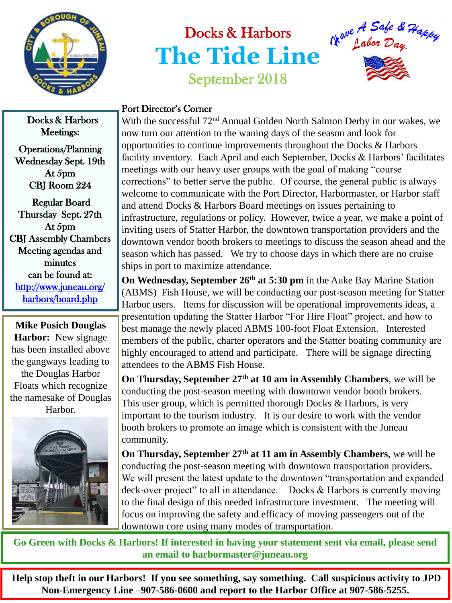

## Docks & Harbors **The Tide Line** September 2018



## Port Director's Corner

With the successful 72<sup>nd</sup> Annual Golden North Salmon Derby in our wakes, we now turn our attention to the waning days of the season and look for opportunities to continue improvements throughout the Docks & Harbors facility inventory. Each April and each September, Docks & Harbors' facilitates meetings with our heavy user groups with the goal of making "course corrections" to better serve the public. Of course, the general public is always welcome to communicate with the Port Director, Harbormaster, or Harbor staff and attend Docks & Harbors Board meetings on issues pertaining to infrastructure, regulations or policy. However, twice a year, we make a point of inviting users of Statter Harbor, the downtown transportation providers and the downtown vendor booth brokers to meetings to discuss the season ahead and the season which has passed. We try to choose days in which there are no cruise ships in port to maximize attendance.

**On Wednesday, September 26th at 5:30 pm** in the Auke Bay Marine Station (ABMS) Fish House, we will be conducting our post-season meeting for Statter Harbor users. Items for discussion will be operational improvements ideas, a presentation updating the Statter Harbor "For Hire Float" project, and how to best manage the newly placed ABMS 100-foot Float Extension. Interested members of the public, charter operators and the Statter boating community are highly encouraged to attend and participate. There will be signage directing attendees to the ABMS Fish House.

**On Thursday, September 27th at 10 am in Assembly Chambers**, we will be conducting the post-season meeting with downtown vendor booth brokers. This user group, which is permitted thorough Docks & Harbors, is very important to the tourism industry. It is our desire to work with the vendor booth brokers to promote an image which is consistent with the Juneau community.

**On Thursday, September 27th at 11 am in Assembly Chambers**, we will be conducting the post-season meeting with downtown transportation providers. We will present the latest update to the downtown "transportation and expanded deck-over project" to all in attendance. Docks & Harbors is currently moving to the final design of this needed infrastructure investment. The meeting will focus on improving the safety and efficacy of moving passengers out of the downtown core using many modes of transportation.

**Go Green with Docks & Harbors! If interested in having your statement sent via email, please send an email to harbormaster@juneau.org**

 **Help stop theft in our Harbors! If you see something, say something. Call suspicious activity to JPD Non-Emergency Line –907-586-0600 and report to the Harbor Office at 907-586-5255.** 

Docks & Harbors Meetings: Operations/Planning Wednesday Sept. 19th

At 5pm CBJ Room 224

 Regular Board Thursday Sept. 27th At 5pm CBJ Assembly Chambers Meeting agendas and minutes can be found at: [http://www.juneau.org/](http://www.juneau.org/harbors/board.php)  [harbors/board.php](http://www.juneau.org/harbors/board.php) 

**Mike Pusich Douglas Harbor:** New signage has been installed above the gangways leading to the Douglas Harbor Floats which recognize the namesake of Douglas Harbor.